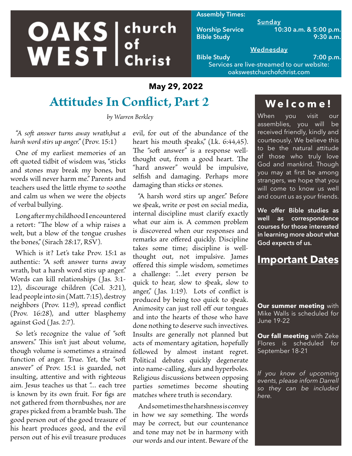# **OAKS** ehurch church

#### **Assembly Times:**

**Sunday Worship Service 10:30 a.m. & 5:00 p.m. Bible Study 9:30 a.m.**

#### **Wednesday Bible Study 7:00 p.m.**

Services are live-streamed to our website: oakswestchurchofchrist.com

### **May 29, 2022**

# **Attitudes In Conflict, Part 2**

*by Warren Berkley*

*"A soft answer turns away wrath,but a harsh word stirs up anger."* (Prov. 15:1)

One of my earliest memories of an oft quoted tidbit of wisdom was, "sticks and stones may break my bones, but words will never harm me." Parents and teachers used the little rhyme to soothe and calm us when we were the objects of verbal bullying.

Long after my childhood I encountered a retort: "The blow of a whip raises a welt, but a blow of the tongue crushes the bones," (Sirach 28:17, RSV).

Which is it? Let's take Prov. 15:1 as authentic: "A soft answer turns away wrath, but a harsh word stirs up anger." Words can kill relationships (Jas. 3:1- 12), discourage children (Col. 3:21), lead people into sin (Matt. 7:15), destroy neighbors (Prov. 11:9), spread conflict (Prov. 16:28), and utter blasphemy against God (Jas. 2:7).

So let's recognize the value of "soft answers." This isn't just about volume, though volume is sometimes a strained function of anger. True. Yet, the "soft answer" of Prov. 15:1 is guarded, not insulting, attentive and with righteous aim. Jesus teaches us that "… each tree is known by its own fruit. For figs are not gathered from thornbushes, nor are grapes picked from a bramble bush. The good person out of the good treasure of his heart produces good, and the evil person out of his evil treasure produces evil, for out of the abundance of the heart his mouth speaks," (Lk. 6:44,45). The "soft answer" is a response wellthought out, from a good heart. The "hard answer" would be impulsive, selfish and damaging. Perhaps more damaging than sticks or stones.

"A harsh word stirs up anger." Before we speak, write or post on social media, internal discipline must clarify exactly what our aim is. A common problem is discovered when our responses and remarks are offered quickly. Discipline takes some time; discipline is wellthought out, not impulsive. James offered this simple wisdom, sometimes a challenge: "…let every person be quick to hear, slow to speak, slow to anger," (Jas. 1:19). Lots of conflict is produced by being too quick to speak. Animosity can just roll off our tongues and into the hearts of those who have done nothing to deserve such invectives. Insults are generally not planned but acts of momentary agitation, hopefully followed by almost instant regret. Political debates quickly degenerate into name-calling, slurs and hyperboles. Religious discussions between opposing parties sometimes become shouting matches where truth is secondary.

And sometimes the harshness is convey in how we say something. The words may be correct, but our countenance and tone may not be in harmony with our words and our intent. Beware of the

## **Welcome!**

When you visit<u> our</u> assemblies, you will be received friendly, kindly and courteously. We believe this to be the natural attitude of those who truly love God and mankind. Though you may at first be among strangers, we hope that you will come to know us well and count us as your friends.

**We offer Bible studies as well as correspondence courses for those interested in learning more about what God expects of us.**

## **Important Dates**

**Our summer meeting** with Mike Walls is scheduled for June 19-22

**Our fall meeting** with Zeke Flores is scheduled for September 18-21

*If you know of upcoming events, please inform Darrell so they can be included here.*